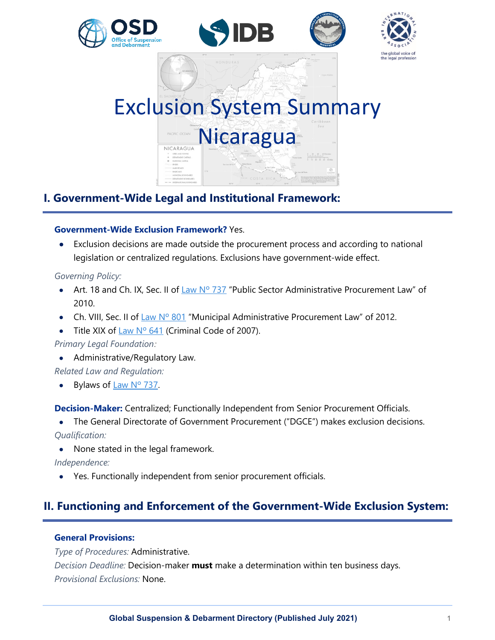





# Exclusion System Summary **Nicaragua** NICARAGUA

# **I. Government-Wide Legal and Institutional Framework:**

#### **Government-Wide Exclusion Framework?** Yes.

• Exclusion decisions are made outside the procurement process and according to national legislation or centralized regulations. Exclusions have government-wide effect.

#### *Governing Policy:*

- Art. 18 and Ch. IX, Sec. II of Law  $N^{\circ}$  737 "Public Sector Administrative Procurement Law" of 2010.
- Ch. VIII, Sec. II of [Law Nº 801](http://legislacion.asamblea.gob.ni/normaweb.nsf/($All)/85A15304DA05724E06257AA600722289?OpenDocument) "Municipal Administrative Procurement Law" of 2012.
- Title XIX of Law N°  $641$  (Criminal Code of 2007).

*Primary Legal Foundation:*

- Administrative/Regulatory Law.
- *Related Law and Regulation:*
- Bylaws of  $Law N<sup>o</sup> 737$ .

**Decision-Maker:** Centralized; Functionally Independent from Senior Procurement Officials.

• The General Directorate of Government Procurement ("DGCE") makes exclusion decisions.

*Qualification:*

• None stated in the legal framework.

#### *Independence:*

• Yes. Functionally independent from senior procurement officials.

# **II. Functioning and Enforcement of the Government-Wide Exclusion System:**

#### **General Provisions:**

*Type of Procedures:* Administrative. *Decision Deadline:* Decision-maker **must** make a determination within ten business days. *Provisional Exclusions:* None.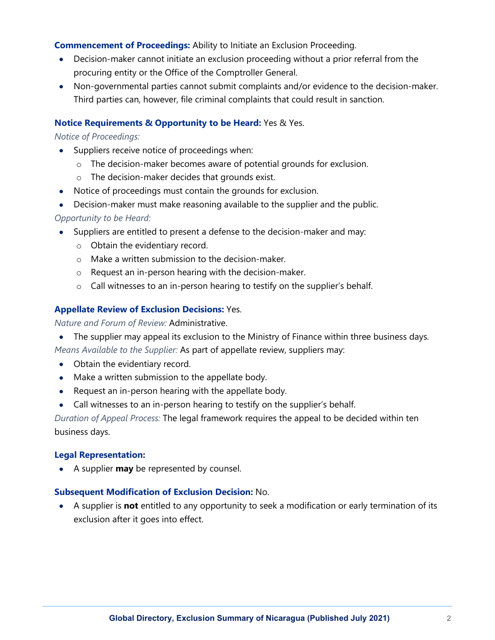**Commencement of Proceedings:** Ability to Initiate an Exclusion Proceeding.

- Decision-maker cannot initiate an exclusion proceeding without a prior referral from the procuring entity or the Office of the Comptroller General.
- Non-governmental parties cannot submit complaints and/or evidence to the decision-maker. Third parties can, however, file criminal complaints that could result in sanction.

#### **Notice Requirements & Opportunity to be Heard:** Yes & Yes.

#### *Notice of Proceedings:*

- Suppliers receive notice of proceedings when:
	- o The decision-maker becomes aware of potential grounds for exclusion.
	- o The decision-maker decides that grounds exist.
- Notice of proceedings must contain the grounds for exclusion.
- Decision-maker must make reasoning available to the supplier and the public.

#### *Opportunity to be Heard:*

- Suppliers are entitled to present a defense to the decision-maker and may:
	- o Obtain the evidentiary record.
	- o Make a written submission to the decision-maker.
	- o Request an in-person hearing with the decision-maker.
	- o Call witnesses to an in-person hearing to testify on the supplier's behalf.

#### **Appellate Review of Exclusion Decisions:** Yes.

*Nature and Forum of Review:* Administrative.

• The supplier may appeal its exclusion to the Ministry of Finance within three business days.

*Means Available to the Supplier:* As part of appellate review, suppliers may:

- Obtain the evidentiary record.
- Make a written submission to the appellate body.
- Request an in-person hearing with the appellate body.
- Call witnesses to an in-person hearing to testify on the supplier's behalf.

*Duration of Appeal Process:* The legal framework requires the appeal to be decided within ten business days.

#### **Legal Representation:**

• A supplier **may** be represented by counsel.

#### **Subsequent Modification of Exclusion Decision:** No.

• A supplier is **not** entitled to any opportunity to seek a modification or early termination of its exclusion after it goes into effect.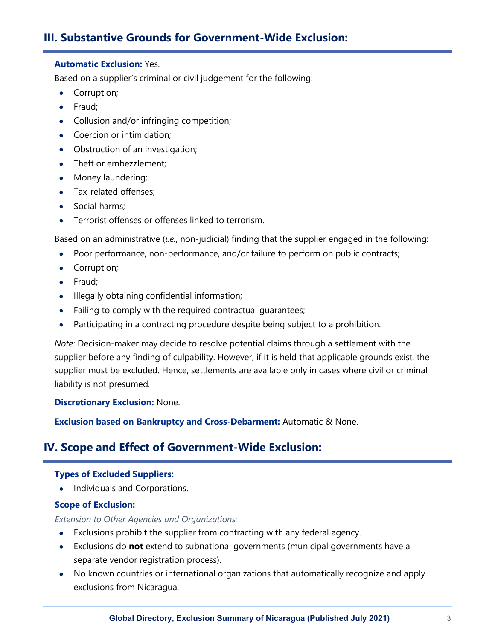## **III. Substantive Grounds for Government-Wide Exclusion:**

#### **Automatic Exclusion:** Yes.

Based on a supplier's criminal or civil judgement for the following:

- Corruption;
- Fraud;
- Collusion and/or infringing competition;
- Coercion or intimidation;
- Obstruction of an investigation;
- Theft or embezzlement;
- Money laundering;
- Tax-related offenses;
- Social harms;
- Terrorist offenses or offenses linked to terrorism.

Based on an administrative (*i.e.*, non-judicial) finding that the supplier engaged in the following:

- Poor performance, non-performance, and/or failure to perform on public contracts;
- Corruption;
- Fraud;
- Illegally obtaining confidential information;
- Failing to comply with the required contractual quarantees;
- Participating in a contracting procedure despite being subject to a prohibition.

*Note:* Decision-maker may decide to resolve potential claims through a settlement with the supplier before any finding of culpability. However, if it is held that applicable grounds exist, the supplier must be excluded. Hence, settlements are available only in cases where civil or criminal liability is not presumed*.*

**Discretionary Exclusion:** None.

**Exclusion based on Bankruptcy and Cross-Debarment:** Automatic & None.

## **IV. Scope and Effect of Government-Wide Exclusion:**

#### **Types of Excluded Suppliers:**

• Individuals and Corporations.

#### **Scope of Exclusion:**

*Extension to Other Agencies and Organizations:*

- Exclusions prohibit the supplier from contracting with any federal agency.
- Exclusions do **not** extend to subnational governments (municipal governments have a separate vendor registration process).
- No known countries or international organizations that automatically recognize and apply exclusions from Nicaragua.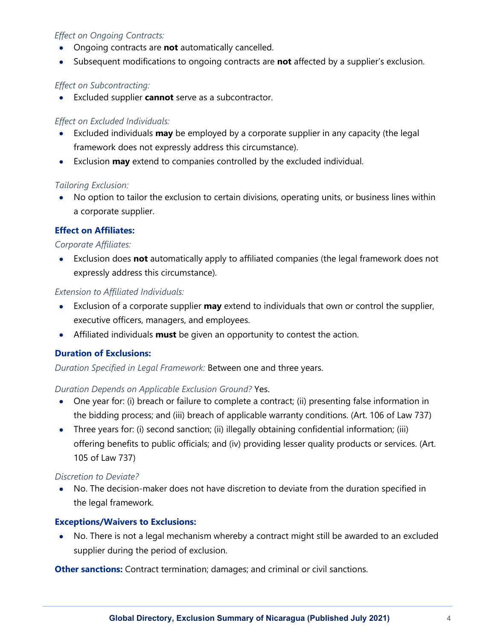#### *Effect on Ongoing Contracts:*

- Ongoing contracts are **not** automatically cancelled.
- Subsequent modifications to ongoing contracts are **not** affected by a supplier's exclusion.

#### *Effect on Subcontracting:*

• Excluded supplier **cannot** serve as a subcontractor.

#### *Effect on Excluded Individuals:*

- Excluded individuals **may** be employed by a corporate supplier in any capacity (the legal framework does not expressly address this circumstance).
- Exclusion **may** extend to companies controlled by the excluded individual.

#### *Tailoring Exclusion:*

• No option to tailor the exclusion to certain divisions, operating units, or business lines within a corporate supplier.

#### **Effect on Affiliates:**

#### *Corporate Affiliates:*

• Exclusion does **not** automatically apply to affiliated companies (the legal framework does not expressly address this circumstance).

#### *Extension to Affiliated Individuals:*

- Exclusion of a corporate supplier **may** extend to individuals that own or control the supplier, executive officers, managers, and employees.
- Affiliated individuals **must** be given an opportunity to contest the action.

#### **Duration of Exclusions:**

*Duration Specified in Legal Framework:* Between one and three years.

#### *Duration Depends on Applicable Exclusion Ground?* Yes.

- One year for: (i) breach or failure to complete a contract; (ii) presenting false information in the bidding process; and (iii) breach of applicable warranty conditions. (Art. 106 of Law 737)
- Three years for: (i) second sanction; (ii) illegally obtaining confidential information; (iii) offering benefits to public officials; and (iv) providing lesser quality products or services. (Art. 105 of Law 737)

#### *Discretion to Deviate?*

• No. The decision-maker does not have discretion to deviate from the duration specified in the legal framework.

#### **Exceptions/Waivers to Exclusions:**

• No. There is not a legal mechanism whereby a contract might still be awarded to an excluded supplier during the period of exclusion.

**Other sanctions:** Contract termination; damages; and criminal or civil sanctions.